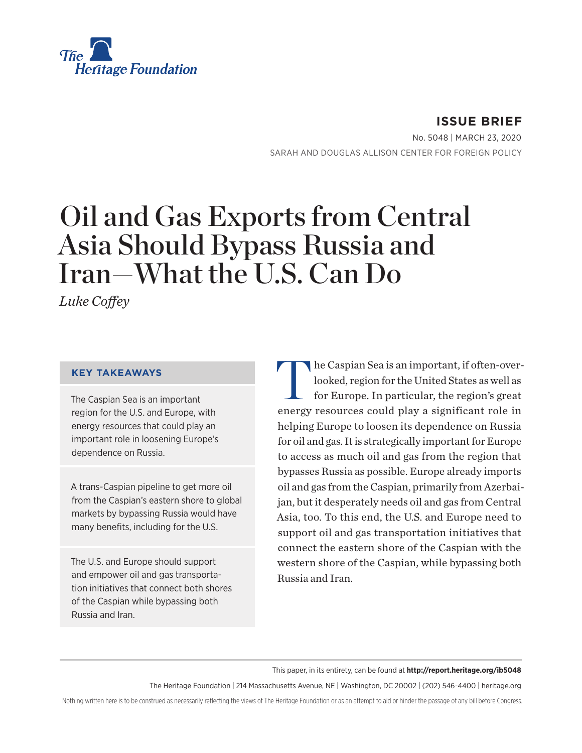

**ISSUE BRIEF** No. 5048 | March 23, 2020 SARAH AND DOUGLAS ALLISON CENTER FOR FOREIGN POLICY

# Oil and Gas Exports from Central Asia Should Bypass Russia and Iran—What the U.S. Can Do

*Luke Coffey*

#### **KEY TAKEAWAYS**

The Caspian Sea is an important region for the U.S. and Europe, with energy resources that could play an important role in loosening Europe's dependence on Russia.

A trans-Caspian pipeline to get more oil from the Caspian's eastern shore to global markets by bypassing Russia would have many benefits, including for the U.S.

The U.S. and Europe should support and empower oil and gas transportation initiatives that connect both shores of the Caspian while bypassing both Russia and Iran.

The Caspian Sea is an important, if often-over-<br>looked, region for the United States as well as<br>for Europe. In particular, the region's great looked, region for the United States as well as for Europe. In particular, the region's great energy resources could play a significant role in helping Europe to loosen its dependence on Russia for oil and gas. It is strategically important for Europe to access as much oil and gas from the region that bypasses Russia as possible. Europe already imports oil and gas from the Caspian, primarily from Azerbaijan, but it desperately needs oil and gas from Central Asia, too. To this end, the U.S. and Europe need to support oil and gas transportation initiatives that connect the eastern shore of the Caspian with the western shore of the Caspian, while bypassing both Russia and Iran.

#### This paper, in its entirety, can be found at **http://report.heritage.org/ib5048**

The Heritage Foundation | 214 Massachusetts Avenue, NE | Washington, DC 20002 | (202) 546-4400 | heritage.org

Nothing written here is to be construed as necessarily reflecting the views of The Heritage Foundation or as an attempt to aid or hinder the passage of any bill before Congress.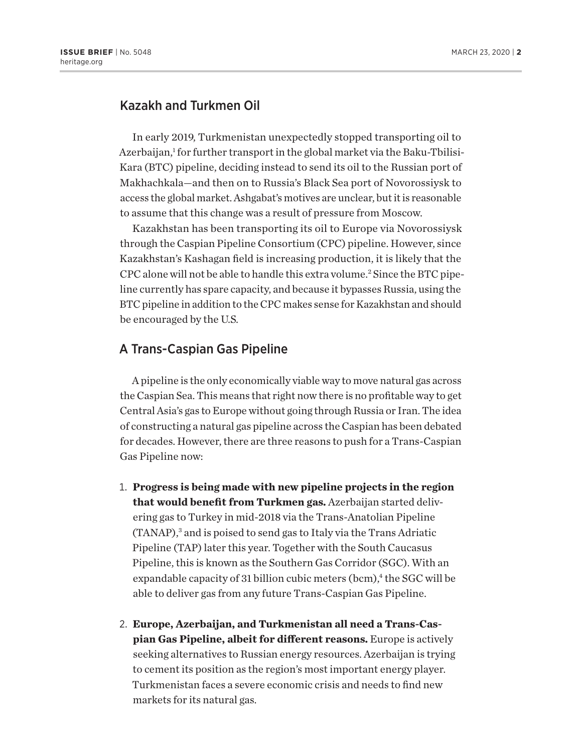### Kazakh and Turkmen Oil

In early 2019, Turkmenistan unexpectedly stopped transporting oil to Azerbaijan,<sup>1</sup> for further transport in the global market via the Baku-Tbilisi-Kara (BTC) pipeline, deciding instead to send its oil to the Russian port of Makhachkala—and then on to Russia's Black Sea port of Novorossiysk to access the global market. Ashgabat's motives are unclear, but it is reasonable to assume that this change was a result of pressure from Moscow.

Kazakhstan has been transporting its oil to Europe via Novorossiysk through the Caspian Pipeline Consortium (CPC) pipeline. However, since Kazakhstan's Kashagan field is increasing production, it is likely that the CPC alone will not be able to handle this extra volume.<sup>2</sup> Since the BTC pipeline currently has spare capacity, and because it bypasses Russia, using the BTC pipeline in addition to the CPC makes sense for Kazakhstan and should be encouraged by the U.S.

#### A Trans-Caspian Gas Pipeline

A pipeline is the only economically viable way to move natural gas across the Caspian Sea. This means that right now there is no profitable way to get Central Asia's gas to Europe without going through Russia or Iran. The idea of constructing a natural gas pipeline across the Caspian has been debated for decades. However, there are three reasons to push for a Trans-Caspian Gas Pipeline now:

- 1. **Progress is being made with new pipeline projects in the region that would benefit from Turkmen gas.** Azerbaijan started delivering gas to Turkey in mid-2018 via the Trans-Anatolian Pipeline (TANAP),<sup>3</sup> and is poised to send gas to Italy via the Trans Adriatic Pipeline (TAP) later this year. Together with the South Caucasus Pipeline, this is known as the Southern Gas Corridor (SGC). With an expandable capacity of 31 billion cubic meters (bcm),<sup>4</sup> the SGC will be able to deliver gas from any future Trans-Caspian Gas Pipeline.
- 2. **Europe, Azerbaijan, and Turkmenistan all need a Trans-Caspian Gas Pipeline, albeit for different reasons.** Europe is actively seeking alternatives to Russian energy resources. Azerbaijan is trying to cement its position as the region's most important energy player. Turkmenistan faces a severe economic crisis and needs to find new markets for its natural gas.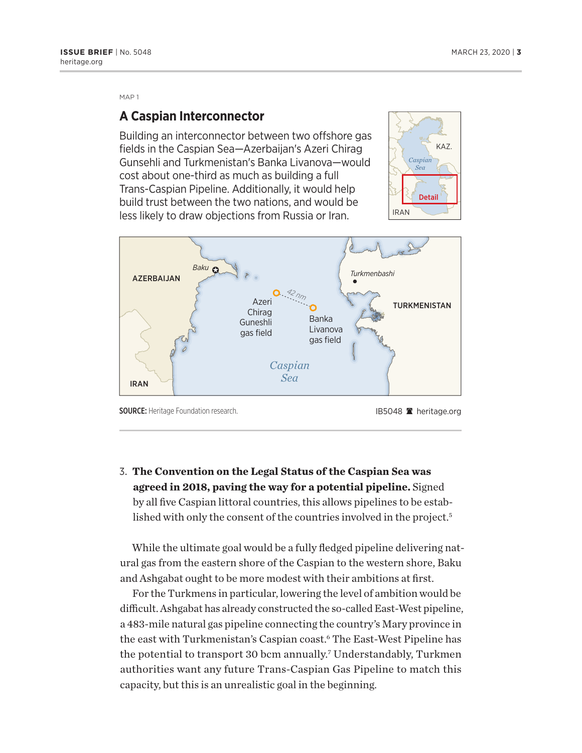MAP 1

#### **A Caspian Interconnector**

Building an interconnector between two offshore gas fields in the Caspian Sea—Azerbaijan's Azeri Chirag Gunsehli and Turkmenistan's Banka Livanova—would cost about one-third as much as building a full Trans-Caspian Pipeline. Additionally, it would help build trust between the two nations, and would be less likely to draw objections from Russia or Iran.





SOURCE: Heritage Foundation research. The state of the state of the IB5048 a heritage.org

3. **The Convention on the Legal Status of the Caspian Sea was agreed in 2018, paving the way for a potential pipeline.** Signed by all five Caspian littoral countries, this allows pipelines to be established with only the consent of the countries involved in the project.<sup>5</sup>

While the ultimate goal would be a fully fledged pipeline delivering natural gas from the eastern shore of the Caspian to the western shore, Baku and Ashgabat ought to be more modest with their ambitions at first.

For the Turkmens in particular, lowering the level of ambition would be difficult. Ashgabat has already constructed the so-called East-West pipeline, a 483-mile natural gas pipeline connecting the country's Mary province in the east with Turkmenistan's Caspian coast.<sup>6</sup> The East-West Pipeline has the potential to transport 30 bcm annually.<sup>7</sup> Understandably, Turkmen authorities want any future Trans-Caspian Gas Pipeline to match this capacity, but this is an unrealistic goal in the beginning.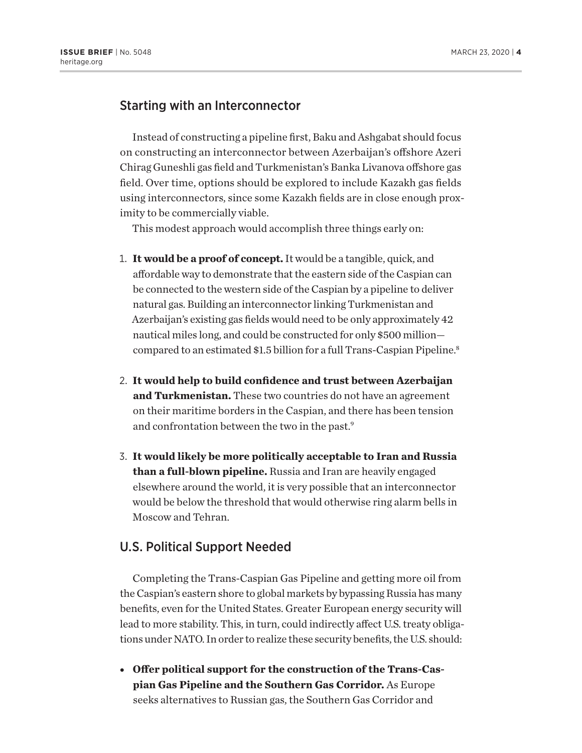#### Starting with an Interconnector

Instead of constructing a pipeline first, Baku and Ashgabat should focus on constructing an interconnector between Azerbaijan's offshore Azeri Chirag Guneshli gas field and Turkmenistan's Banka Livanova offshore gas field. Over time, options should be explored to include Kazakh gas fields using interconnectors, since some Kazakh fields are in close enough proximity to be commercially viable.

This modest approach would accomplish three things early on:

- 1. **It would be a proof of concept.** It would be a tangible, quick, and affordable way to demonstrate that the eastern side of the Caspian can be connected to the western side of the Caspian by a pipeline to deliver natural gas. Building an interconnector linking Turkmenistan and Azerbaijan's existing gas fields would need to be only approximately 42 nautical miles long, and could be constructed for only \$500 million compared to an estimated \$1.5 billion for a full Trans-Caspian Pipeline.8
- 2. **It would help to build confidence and trust between Azerbaijan and Turkmenistan.** These two countries do not have an agreement on their maritime borders in the Caspian, and there has been tension and confrontation between the two in the past.9
- 3. **It would likely be more politically acceptable to Iran and Russia than a full-blown pipeline.** Russia and Iran are heavily engaged elsewhere around the world, it is very possible that an interconnector would be below the threshold that would otherwise ring alarm bells in Moscow and Tehran.

#### U.S. Political Support Needed

Completing the Trans-Caspian Gas Pipeline and getting more oil from the Caspian's eastern shore to global markets by bypassing Russia has many benefits, even for the United States. Greater European energy security will lead to more stability. This, in turn, could indirectly affect U.S. treaty obligations under NATO. In order to realize these security benefits, the U.S. should:

• Offer political support for the construction of the Trans-Cas**pian Gas Pipeline and the Southern Gas Corridor.** As Europe seeks alternatives to Russian gas, the Southern Gas Corridor and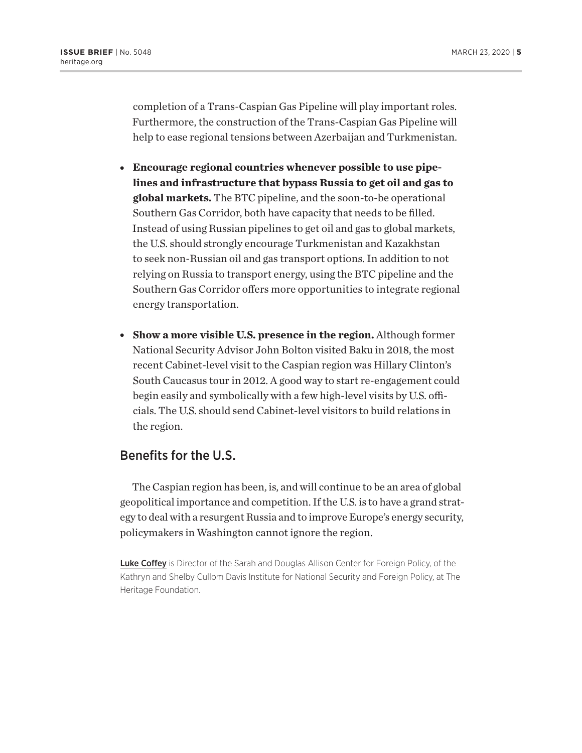completion of a Trans-Caspian Gas Pipeline will play important roles. Furthermore, the construction of the Trans-Caspian Gas Pipeline will help to ease regional tensions between Azerbaijan and Turkmenistan.

- **Encourage regional countries whenever possible to use pipelines and infrastructure that bypass Russia to get oil and gas to global markets.** The BTC pipeline, and the soon-to-be operational Southern Gas Corridor, both have capacity that needs to be filled. Instead of using Russian pipelines to get oil and gas to global markets, the U.S. should strongly encourage Turkmenistan and Kazakhstan to seek non-Russian oil and gas transport options. In addition to not relying on Russia to transport energy, using the BTC pipeline and the Southern Gas Corridor offers more opportunities to integrate regional energy transportation.
- <sup>l</sup> **Show a more visible U.S. presence in the region.** Although former National Security Advisor John Bolton visited Baku in 2018, the most recent Cabinet-level visit to the Caspian region was Hillary Clinton's South Caucasus tour in 2012. A good way to start re-engagement could begin easily and symbolically with a few high-level visits by U.S. officials. The U.S. should send Cabinet-level visitors to build relations in the region.

#### Benefits for the U.S.

The Caspian region has been, is, and will continue to be an area of global geopolitical importance and competition. If the U.S. is to have a grand strategy to deal with a resurgent Russia and to improve Europe's energy security, policymakers in Washington cannot ignore the region.

Luke Coffey is Director of the Sarah and Douglas Allison Center for Foreign Policy, of the Kathryn and Shelby Cullom Davis Institute for National Security and Foreign Policy, at The Heritage Foundation.